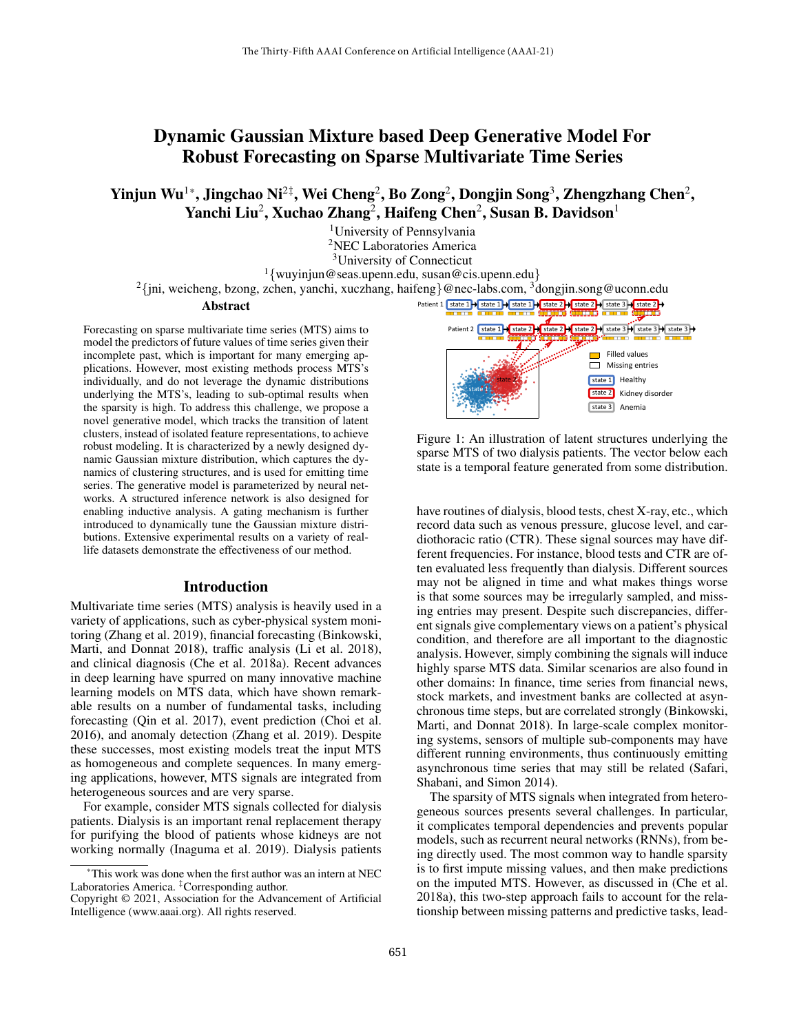# Dynamic Gaussian Mixture based Deep Generative Model For Robust Forecasting on Sparse Multivariate Time Series

Yinjun Wu $^{1*}$ , Jingchao Ni $^{2\ddagger}$ , Wei Cheng $^2$ , Bo Zong $^2$ , Dongjin Song $^3$ , Zhengzhang Chen $^2$ , Yanchi Liu<sup>2</sup>, Xuchao Zhang<sup>2</sup>, Haifeng Chen<sup>2</sup>, Susan B. Davidson<sup>1</sup>

> University of Pennsylvania NEC Laboratories America University of Connecticut {wuyinjun@seas.upenn.edu, susan@cis.upenn.edu}

<sup>2</sup>{jni, weicheng, bzong, zchen, yanchi, xuczhang, haifeng}@nec-labs.com, <sup>3</sup>dongjin.song@uconn.edu

#### Abstract

Forecasting on sparse multivariate time series (MTS) aims to model the predictors of future values of time series given their incomplete past, which is important for many emerging applications. However, most existing methods process MTS's individually, and do not leverage the dynamic distributions underlying the MTS's, leading to sub-optimal results when the sparsity is high. To address this challenge, we propose a novel generative model, which tracks the transition of latent clusters, instead of isolated feature representations, to achieve robust modeling. It is characterized by a newly designed dynamic Gaussian mixture distribution, which captures the dynamics of clustering structures, and is used for emitting time series. The generative model is parameterized by neural networks. A structured inference network is also designed for enabling inductive analysis. A gating mechanism is further introduced to dynamically tune the Gaussian mixture distributions. Extensive experimental results on a variety of reallife datasets demonstrate the effectiveness of our method.

### Introduction

Multivariate time series (MTS) analysis is heavily used in a variety of applications, such as cyber-physical system monitoring (Zhang et al. 2019), financial forecasting (Binkowski, Marti, and Donnat 2018), traffic analysis (Li et al. 2018), and clinical diagnosis (Che et al. 2018a). Recent advances in deep learning have spurred on many innovative machine learning models on MTS data, which have shown remarkable results on a number of fundamental tasks, including forecasting (Qin et al. 2017), event prediction (Choi et al. 2016), and anomaly detection (Zhang et al. 2019). Despite these successes, most existing models treat the input MTS as homogeneous and complete sequences. In many emerging applications, however, MTS signals are integrated from heterogeneous sources and are very sparse.

For example, consider MTS signals collected for dialysis patients. Dialysis is an important renal replacement therapy for purifying the blood of patients whose kidneys are not working normally (Inaguma et al. 2019). Dialysis patients



Figure 1: An illustration of latent structures underlying the sparse MTS of two dialysis patients. The vector below each state is a temporal feature generated from some distribution.

have routines of dialysis, blood tests, chest X-ray, etc., which record data such as venous pressure, glucose level, and cardiothoracic ratio (CTR). These signal sources may have different frequencies. For instance, blood tests and CTR are often evaluated less frequently than dialysis. Different sources may not be aligned in time and what makes things worse is that some sources may be irregularly sampled, and missing entries may present. Despite such discrepancies, different signals give complementary views on a patient's physical condition, and therefore are all important to the diagnostic analysis. However, simply combining the signals will induce highly sparse MTS data. Similar scenarios are also found in other domains: In finance, time series from financial news, stock markets, and investment banks are collected at asynchronous time steps, but are correlated strongly (Binkowski, Marti, and Donnat 2018). In large-scale complex monitoring systems, sensors of multiple sub-components may have different running environments, thus continuously emitting asynchronous time series that may still be related (Safari, Shabani, and Simon 2014).

The sparsity of MTS signals when integrated from heterogeneous sources presents several challenges. In particular, it complicates temporal dependencies and prevents popular models, such as recurrent neural networks (RNNs), from being directly used. The most common way to handle sparsity is to first impute missing values, and then make predictions on the imputed MTS. However, as discussed in (Che et al. 2018a), this two-step approach fails to account for the relationship between missing patterns and predictive tasks, lead-

<sup>\*</sup>This work was done when the first author was an intern at NEC Laboratories America. <sup>‡</sup>Corresponding author.

Copyright © 2021, Association for the Advancement of Artificial Intelligence (www.aaai.org). All rights reserved.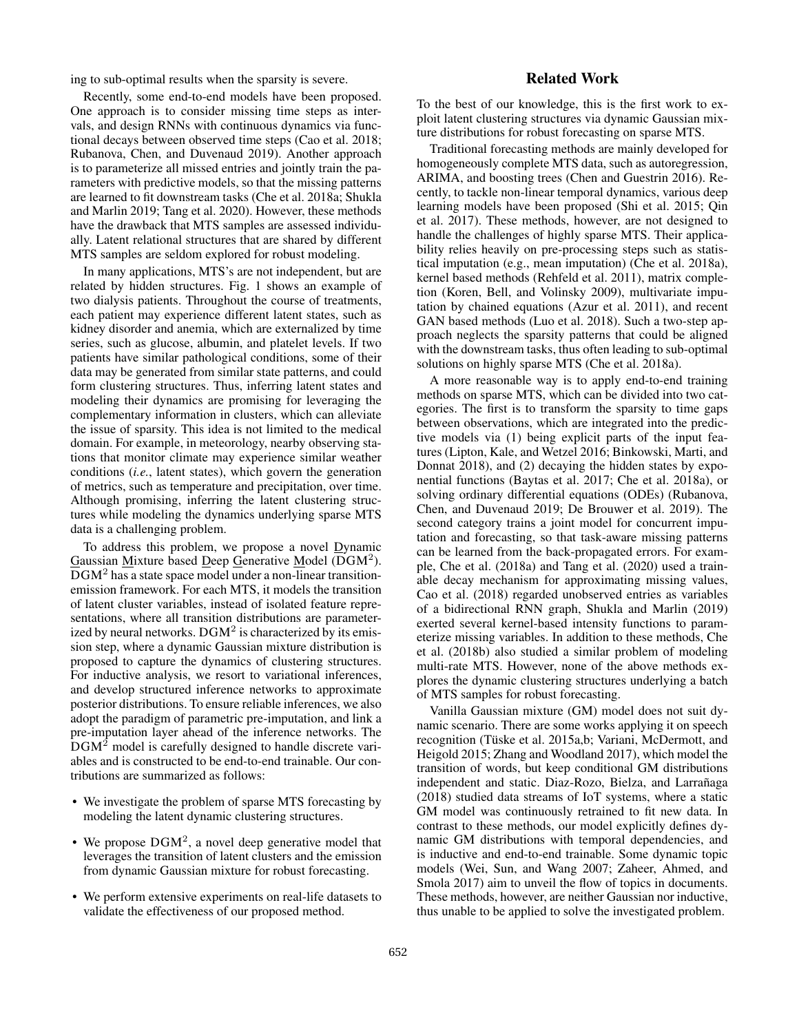ing to sub-optimal results when the sparsity is severe.

Recently, some end-to-end models have been proposed. One approach is to consider missing time steps as intervals, and design RNNs with continuous dynamics via functional decays between observed time steps (Cao et al. 2018; Rubanova, Chen, and Duvenaud 2019). Another approach is to parameterize all missed entries and jointly train the parameters with predictive models, so that the missing patterns are learned to fit downstream tasks (Che et al. 2018a; Shukla and Marlin 2019; Tang et al. 2020). However, these methods have the drawback that MTS samples are assessed individually. Latent relational structures that are shared by different MTS samples are seldom explored for robust modeling.

In many applications, MTS's are not independent, but are related by hidden structures. Fig. 1 shows an example of two dialysis patients. Throughout the course of treatments, each patient may experience different latent states, such as kidney disorder and anemia, which are externalized by time series, such as glucose, albumin, and platelet levels. If two patients have similar pathological conditions, some of their data may be generated from similar state patterns, and could form clustering structures. Thus, inferring latent states and modeling their dynamics are promising for leveraging the complementary information in clusters, which can alleviate the issue of sparsity. This idea is not limited to the medical domain. For example, in meteorology, nearby observing stations that monitor climate may experience similar weather conditions (*i.e.*, latent states), which govern the generation of metrics, such as temperature and precipitation, over time. Although promising, inferring the latent clustering structures while modeling the dynamics underlying sparse MTS data is a challenging problem.

To address this problem, we propose a novel Dynamic Gaussian Mixture based Deep Generative Model (DGM<sup>2</sup>). DGM<sup>2</sup> has a state space model under a non-linear transitionemission framework. For each MTS, it models the transition of latent cluster variables, instead of isolated feature representations, where all transition distributions are parameterized by neural networks.  $\text{DGM}^2$  is characterized by its emission step, where a dynamic Gaussian mixture distribution is proposed to capture the dynamics of clustering structures. For inductive analysis, we resort to variational inferences, and develop structured inference networks to approximate posterior distributions. To ensure reliable inferences, we also adopt the paradigm of parametric pre-imputation, and link a pre-imputation layer ahead of the inference networks. The DGM<sup>2</sup> model is carefully designed to handle discrete variables and is constructed to be end-to-end trainable. Our contributions are summarized as follows:

- We investigate the problem of sparse MTS forecasting by modeling the latent dynamic clustering structures.
- We propose  $DGM^2$ , a novel deep generative model that leverages the transition of latent clusters and the emission from dynamic Gaussian mixture for robust forecasting.
- We perform extensive experiments on real-life datasets to validate the effectiveness of our proposed method.

# Related Work

To the best of our knowledge, this is the first work to exploit latent clustering structures via dynamic Gaussian mixture distributions for robust forecasting on sparse MTS.

Traditional forecasting methods are mainly developed for homogeneously complete MTS data, such as autoregression, ARIMA, and boosting trees (Chen and Guestrin 2016). Recently, to tackle non-linear temporal dynamics, various deep learning models have been proposed (Shi et al. 2015; Qin et al. 2017). These methods, however, are not designed to handle the challenges of highly sparse MTS. Their applicability relies heavily on pre-processing steps such as statistical imputation (e.g., mean imputation) (Che et al. 2018a), kernel based methods (Rehfeld et al. 2011), matrix completion (Koren, Bell, and Volinsky 2009), multivariate imputation by chained equations (Azur et al. 2011), and recent GAN based methods (Luo et al. 2018). Such a two-step approach neglects the sparsity patterns that could be aligned with the downstream tasks, thus often leading to sub-optimal solutions on highly sparse MTS (Che et al. 2018a).

A more reasonable way is to apply end-to-end training methods on sparse MTS, which can be divided into two categories. The first is to transform the sparsity to time gaps between observations, which are integrated into the predictive models via (1) being explicit parts of the input features (Lipton, Kale, and Wetzel 2016; Binkowski, Marti, and Donnat 2018), and (2) decaying the hidden states by exponential functions (Baytas et al. 2017; Che et al. 2018a), or solving ordinary differential equations (ODEs) (Rubanova, Chen, and Duvenaud 2019; De Brouwer et al. 2019). The second category trains a joint model for concurrent imputation and forecasting, so that task-aware missing patterns can be learned from the back-propagated errors. For example, Che et al. (2018a) and Tang et al. (2020) used a trainable decay mechanism for approximating missing values, Cao et al. (2018) regarded unobserved entries as variables of a bidirectional RNN graph, Shukla and Marlin (2019) exerted several kernel-based intensity functions to parameterize missing variables. In addition to these methods, Che et al. (2018b) also studied a similar problem of modeling multi-rate MTS. However, none of the above methods explores the dynamic clustering structures underlying a batch of MTS samples for robust forecasting.

Vanilla Gaussian mixture (GM) model does not suit dynamic scenario. There are some works applying it on speech recognition (Tüske et al. 2015a,b; Variani, McDermott, and Heigold 2015; Zhang and Woodland 2017), which model the transition of words, but keep conditional GM distributions independent and static. Diaz-Rozo, Bielza, and Larrañaga (2018) studied data streams of IoT systems, where a static GM model was continuously retrained to fit new data. In contrast to these methods, our model explicitly defines dynamic GM distributions with temporal dependencies, and is inductive and end-to-end trainable. Some dynamic topic models (Wei, Sun, and Wang 2007; Zaheer, Ahmed, and Smola 2017) aim to unveil the flow of topics in documents. These methods, however, are neither Gaussian nor inductive, thus unable to be applied to solve the investigated problem.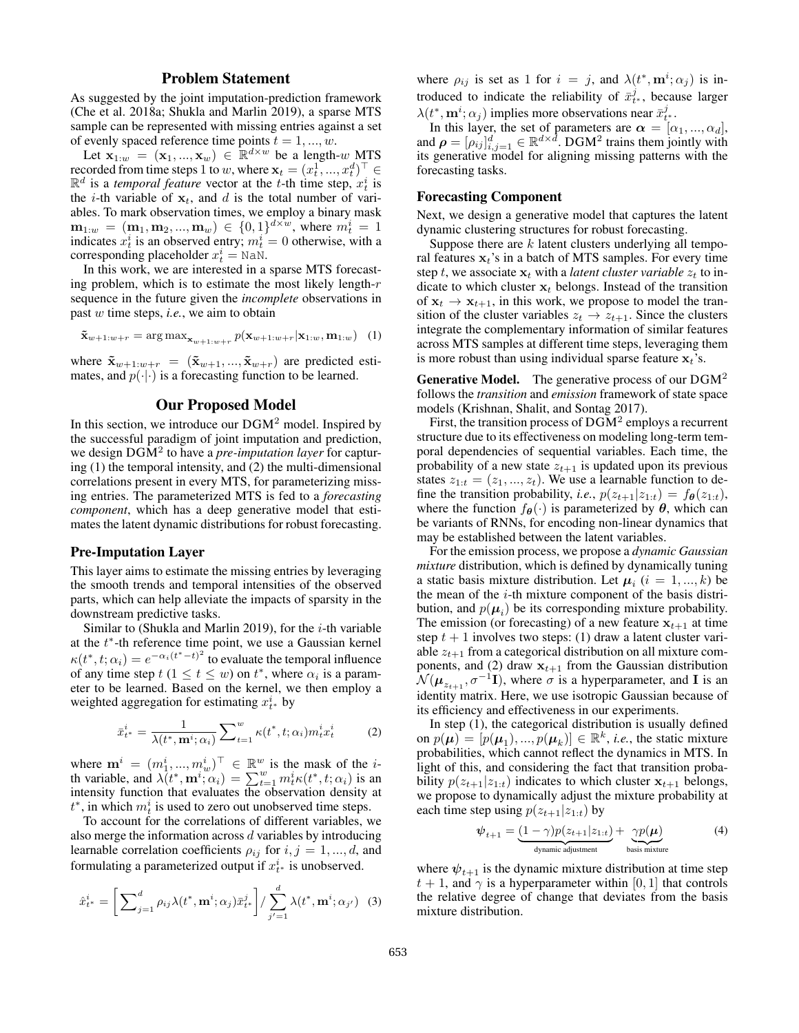### Problem Statement

As suggested by the joint imputation-prediction framework (Che et al. 2018a; Shukla and Marlin 2019), a sparse MTS sample can be represented with missing entries against a set of evenly spaced reference time points  $t = 1, ..., w$ .

Let  $\mathbf{x}_{1:w} = (\mathbf{x}_1, ..., \mathbf{x}_w) \in \mathbb{R}^{d \times w}$  be a length-w MTS recorded from time steps 1 to w, where  $\mathbf{x}_t = (x_t^1, ..., x_t^d)^\top \in$  $\mathbb{R}^d$  is a *temporal feature* vector at the *t*-th time step,  $x_t^i$  is the *i*-th variable of  $x_t$ , and *d* is the total number of variables. To mark observation times, we employ a binary mask  $\mathbf{m}_{1:w} = (\mathbf{m}_1, \mathbf{m}_2, ..., \mathbf{m}_w) \in \{0, 1\}^{d \times w}$ , where  $m_t^i = 1$ indicates  $x_t^i$  is an observed entry;  $m_t^i = 0$  otherwise, with a corresponding placeholder  $x_t^i = N \text{a} N$ .

In this work, we are interested in a sparse MTS forecasting problem, which is to estimate the most likely length- $r$ sequence in the future given the *incomplete* observations in past w time steps, *i.e.*, we aim to obtain

$$
\tilde{\mathbf{x}}_{w+1:w+r} = \arg \max_{\mathbf{x}_{w+1:w+r}} p(\mathbf{x}_{w+1:w+r}|\mathbf{x}_{1:w}, \mathbf{m}_{1:w}) \quad (1)
$$

where  $\tilde{\mathbf{x}}_{w+1:w+r} = (\tilde{\mathbf{x}}_{w+1},...,\tilde{\mathbf{x}}_{w+r})$  are predicted estimates, and  $p(\cdot|\cdot)$  is a forecasting function to be learned.

### Our Proposed Model

In this section, we introduce our DGM<sup>2</sup> model. Inspired by the successful paradigm of joint imputation and prediction, we design DGM<sup>2</sup> to have a *pre-imputation layer* for capturing (1) the temporal intensity, and (2) the multi-dimensional correlations present in every MTS, for parameterizing missing entries. The parameterized MTS is fed to a *forecasting component*, which has a deep generative model that estimates the latent dynamic distributions for robust forecasting.

### Pre-Imputation Layer

This layer aims to estimate the missing entries by leveraging the smooth trends and temporal intensities of the observed parts, which can help alleviate the impacts of sparsity in the downstream predictive tasks.

Similar to (Shukla and Marlin 2019), for the  $i$ -th variable at the  $t^*$ -th reference time point, we use a Gaussian kernel  $\kappa(t^*, t; \alpha_i) = e^{-\alpha_i (t^* - t)^2}$  to evaluate the temporal influence of any time step  $t$  ( $1 \le t \le w$ ) on  $t^*$ , where  $\alpha_i$  is a parameter to be learned. Based on the kernel, we then employ a weighted aggregation for estimating  $x_{t^*}^i$  by

$$
\bar{x}_{t^*}^i = \frac{1}{\lambda(t^*, \mathbf{m}^i; \alpha_i)} \sum_{t=1}^w \kappa(t^*, t; \alpha_i) m_t^i x_t^i \tag{2}
$$

where  $\mathbf{m}^i = (m_1^i, ..., m_w^i)^\top \in \mathbb{R}^w$  is the mask of the *i*th variable, and  $\lambda(t^*, \mathbf{m}^i; \alpha_i) = \sum_{t=1}^w m_t^i \kappa(t^*, t; \alpha_i)$  is an intensity function that evaluates the observation density at  $t^*$ , in which  $m_t^i$  is used to zero out unobserved time steps.

To account for the correlations of different variables, we also merge the information across d variables by introducing learnable correlation coefficients  $\rho_{ij}$  for  $i, j = 1, ..., d$ , and formulating a parameterized output if  $x_{t^*}^i$  is unobserved.

$$
\hat{x}_{t^*}^i = \left[ \sum_{j=1}^d \rho_{ij} \lambda(t^*, \mathbf{m}^i; \alpha_j) \bar{x}_{t^*}^j \right] / \sum_{j'=1}^d \lambda(t^*, \mathbf{m}^i; \alpha_{j'}) \tag{3}
$$

where  $\rho_{ij}$  is set as 1 for  $i = j$ , and  $\lambda(t^*, \mathbf{m}^i; \alpha_j)$  is introduced to indicate the reliability of  $\bar{x}_{t}^{j}$ , because larger  $\lambda(t^*, \mathbf{m}^i; \alpha_j)$  implies more observations near  $\bar{x}_{t^*}^j$ .

In this layer, the set of parameters are  $\alpha = [\alpha_1, ..., \alpha_d],$ and  $\rho = [\rho_{ij}]_{i,j=1}^d \in \mathbb{R}^{d \times d}$ . DGM<sup>2</sup> trains them jointly with its generative model for aligning missing patterns with the forecasting tasks.

### Forecasting Component

Next, we design a generative model that captures the latent dynamic clustering structures for robust forecasting.

Suppose there are  $k$  latent clusters underlying all temporal features  $x_t$ 's in a batch of MTS samples. For every time step t, we associate  $x_t$  with a *latent cluster variable*  $z_t$  to indicate to which cluster  $x_t$  belongs. Instead of the transition of  $x_t \rightarrow x_{t+1}$ , in this work, we propose to model the transition of the cluster variables  $z_t \rightarrow z_{t+1}$ . Since the clusters integrate the complementary information of similar features across MTS samples at different time steps, leveraging them is more robust than using individual sparse feature  $x_t$ 's.

**Generative Model.** The generative process of our  $DGM<sup>2</sup>$ follows the *transition* and *emission* framework of state space models (Krishnan, Shalit, and Sontag 2017).

First, the transition process of  $\text{DGM}^2$  employs a recurrent structure due to its effectiveness on modeling long-term temporal dependencies of sequential variables. Each time, the probability of a new state  $z_{t+1}$  is updated upon its previous states  $z_{1:t} = (z_1, ..., z_t)$ . We use a learnable function to define the transition probability, *i.e.*,  $p(z_{t+1}|z_{1:t}) = f_{\theta}(z_{1:t}),$ where the function  $f_{\theta}(\cdot)$  is parameterized by  $\theta$ , which can be variants of RNNs, for encoding non-linear dynamics that may be established between the latent variables.

For the emission process, we propose a *dynamic Gaussian mixture* distribution, which is defined by dynamically tuning a static basis mixture distribution. Let  $\mu_i$   $(i = 1, ..., k)$  be the mean of the  $i$ -th mixture component of the basis distribution, and  $p(\mu_i)$  be its corresponding mixture probability. The emission (or forecasting) of a new feature  $x_{t+1}$  at time step  $t + 1$  involves two steps: (1) draw a latent cluster variable  $z_{t+1}$  from a categorical distribution on all mixture components, and (2) draw  $x_{t+1}$  from the Gaussian distribution  $\mathcal{N}(\boldsymbol{\mu}_{z_{t+1}}, \sigma^{-1} \mathbf{I})$ , where  $\sigma$  is a hyperparameter, and I is an identity matrix. Here, we use isotropic Gaussian because of its efficiency and effectiveness in our experiments.

In step (1), the categorical distribution is usually defined on  $p(\boldsymbol{\mu}) = [p(\boldsymbol{\mu}_1), ..., p(\boldsymbol{\mu}_k)] \in \mathbb{R}^k$ , *i.e.*, the static mixture probabilities, which cannot reflect the dynamics in MTS. In light of this, and considering the fact that transition probability  $p(z_{t+1}|z_{1:t})$  indicates to which cluster  $x_{t+1}$  belongs, we propose to dynamically adjust the mixture probability at each time step using  $p(z_{t+1}|z_{1:t})$  by

$$
\psi_{t+1} = \underbrace{(1-\gamma)p(z_{t+1}|z_{1:t})}_{\text{dynamic adjustment}} + \underbrace{\gamma p(\mu)}_{\text{basis mixture}} \tag{4}
$$

where  $\psi_{t+1}$  is the dynamic mixture distribution at time step  $t + 1$ , and  $\gamma$  is a hyperparameter within [0, 1] that controls the relative degree of change that deviates from the basis mixture distribution.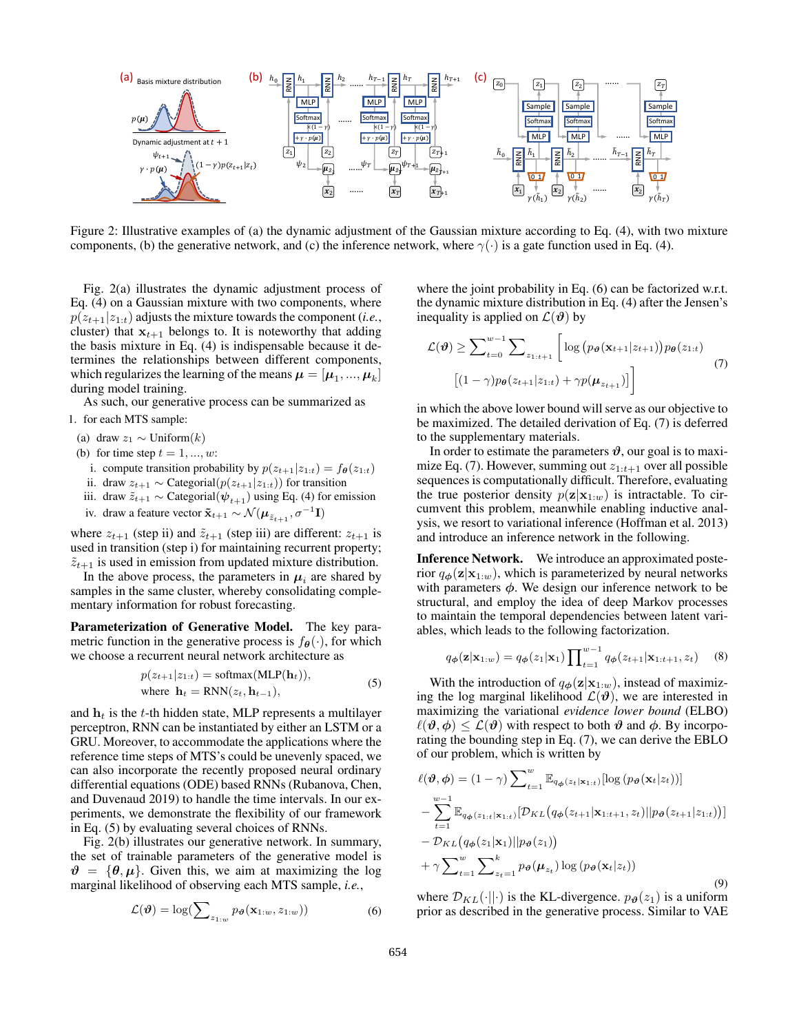

Figure 2: Illustrative examples of (a) the dynamic adjustment of the Gaussian mixture according to Eq. (4), with two mixture components, (b) the generative network, and (c) the inference network, where  $\gamma(\cdot)$  is a gate function used in Eq. (4).

Fig. 2(a) illustrates the dynamic adjustment process of Eq. (4) on a Gaussian mixture with two components, where  $p(z_{t+1}|z_{1:t})$  adjusts the mixture towards the component (*i.e.*, cluster) that  $x_{t+1}$  belongs to. It is noteworthy that adding the basis mixture in Eq. (4) is indispensable because it determines the relationships between different components, which regularizes the learning of the means  $\boldsymbol{\mu} = [\boldsymbol{\mu}_1, ..., \boldsymbol{\mu}_k]$ during model training.

As such, our generative process can be summarized as

- 1. for each MTS sample:
- (a) draw  $z_1 \sim$  Uniform $(k)$
- (b) for time step  $t = 1, ..., w$ :
	- i. compute transition probability by  $p(z_{t+1}|z_{1:t}) = f_{\theta}(z_{1:t})$
	- ii. draw  $z_{t+1}$  ∼ Categorial( $p(z_{t+1}|z_{1:t})$ ) for transition
- iii. draw  $\tilde{z}_{t+1} \sim$  Categorial $(\psi_{t+1})$  using Eq. (4) for emission
- iv. draw a feature vector  $\tilde{\mathbf{x}}_{t+1} \sim \mathcal{N}(\boldsymbol{\mu}_{\tilde{z}_{t+1}}, \sigma^{-1} \mathbf{I})$

where  $z_{t+1}$  (step ii) and  $\tilde{z}_{t+1}$  (step iii) are different:  $z_{t+1}$  is used in transition (step i) for maintaining recurrent property;  $\tilde{z}_{t+1}$  is used in emission from updated mixture distribution.

In the above process, the parameters in  $\mu_i$  are shared by samples in the same cluster, whereby consolidating complementary information for robust forecasting.

Parameterization of Generative Model. The key parametric function in the generative process is  $f_{\theta}(\cdot)$ , for which we choose a recurrent neural network architecture as

$$
p(z_{t+1}|z_{1:t}) = \text{softmax}(\text{MLP}(\mathbf{h}_t)),
$$
  
where  $\mathbf{h}_t = \text{RNN}(z_t, \mathbf{h}_{t-1}),$  (5)

and  $h_t$  is the t-th hidden state, MLP represents a multilayer perceptron, RNN can be instantiated by either an LSTM or a GRU. Moreover, to accommodate the applications where the reference time steps of MTS's could be unevenly spaced, we can also incorporate the recently proposed neural ordinary differential equations (ODE) based RNNs (Rubanova, Chen, and Duvenaud 2019) to handle the time intervals. In our experiments, we demonstrate the flexibility of our framework in Eq. (5) by evaluating several choices of RNNs.

Fig. 2(b) illustrates our generative network. In summary, the set of trainable parameters of the generative model is  $\vartheta = {\theta, \mu}$ . Given this, we aim at maximizing the log marginal likelihood of observing each MTS sample, *i.e.*,

$$
\mathcal{L}(\boldsymbol{\vartheta}) = \log(\sum_{z_{1:w}} p_{\boldsymbol{\vartheta}}(\mathbf{x}_{1:w}, z_{1:w}))
$$
 (6)

where the joint probability in Eq. (6) can be factorized w.r.t. the dynamic mixture distribution in Eq. (4) after the Jensen's inequality is applied on  $\mathcal{L}(\theta)$  by

$$
\mathcal{L}(\boldsymbol{\vartheta}) \geq \sum_{t=0}^{w-1} \sum_{z_{1:t+1}} \left[ \log \left( p_{\boldsymbol{\vartheta}}(\mathbf{x}_{t+1} | z_{t+1}) \right) p_{\boldsymbol{\theta}}(z_{1:t}) \right] \tag{7}
$$

$$
\left[ (1 - \gamma) p_{\boldsymbol{\theta}}(z_{t+1} | z_{1:t}) + \gamma p(\boldsymbol{\mu}_{z_{t+1}}) \right] \right]
$$

in which the above lower bound will serve as our objective to be maximized. The detailed derivation of Eq. (7) is deferred to the supplementary materials.

In order to estimate the parameters  $\vartheta$ , our goal is to maximize Eq. (7). However, summing out  $z_{1:t+1}$  over all possible sequences is computationally difficult. Therefore, evaluating the true posterior density  $p(\mathbf{z}|\mathbf{x}_{1:w})$  is intractable. To circumvent this problem, meanwhile enabling inductive analysis, we resort to variational inference (Hoffman et al. 2013) and introduce an inference network in the following.

Inference Network. We introduce an approximated posterior  $q_{\phi}(\mathbf{z}|\mathbf{x}_{1:w})$ , which is parameterized by neural networks with parameters  $\phi$ . We design our inference network to be structural, and employ the idea of deep Markov processes to maintain the temporal dependencies between latent variables, which leads to the following factorization.

$$
q_{\phi}(\mathbf{z}|\mathbf{x}_{1:w}) = q_{\phi}(z_1|\mathbf{x}_1) \prod_{t=1}^{w-1} q_{\phi}(z_{t+1}|\mathbf{x}_{1:t+1}, z_t)
$$
 (8)

With the introduction of  $q_{\phi}(\mathbf{z}|\mathbf{x}_{1:w})$ , instead of maximizing the log marginal likelihood  $\mathcal{L}(\theta)$ , we are interested in maximizing the variational *evidence lower bound* (ELBO)  $\ell(\theta, \phi) \leq \mathcal{L}(\theta)$  with respect to both  $\theta$  and  $\phi$ . By incorporating the bounding step in Eq. (7), we can derive the EBLO of our problem, which is written by

$$
\ell(\boldsymbol{\vartheta}, \boldsymbol{\phi}) = (1 - \gamma) \sum_{t=1}^{w} \mathbb{E}_{q_{\boldsymbol{\phi}}(z_t|\mathbf{x}_{1:t})} [\log (p_{\boldsymbol{\vartheta}}(\mathbf{x}_t|z_t))] \n- \sum_{t=1}^{w-1} \mathbb{E}_{q_{\boldsymbol{\phi}}(z_{1:t}|\mathbf{x}_{1:t})} [\mathcal{D}_{KL}(q_{\boldsymbol{\phi}}(z_{t+1}|\mathbf{x}_{1:t+1}, z_t)||p_{\boldsymbol{\vartheta}}(z_{t+1}|z_{1:t}))] \n- \mathcal{D}_{KL}(q_{\boldsymbol{\phi}}(z_1|\mathbf{x}_1)||p_{\boldsymbol{\vartheta}}(z_1)) \n+ \gamma \sum_{t=1}^{w} \sum_{z_t=1}^{k} p_{\boldsymbol{\vartheta}}(\boldsymbol{\mu}_{z_t}) \log (p_{\boldsymbol{\vartheta}}(\mathbf{x}_t|z_t))
$$
\n(9)

where  $\mathcal{D}_{KL}(\cdot||\cdot)$  is the KL-divergence.  $p_{\theta}(z_1)$  is a uniform prior as described in the generative process. Similar to VAE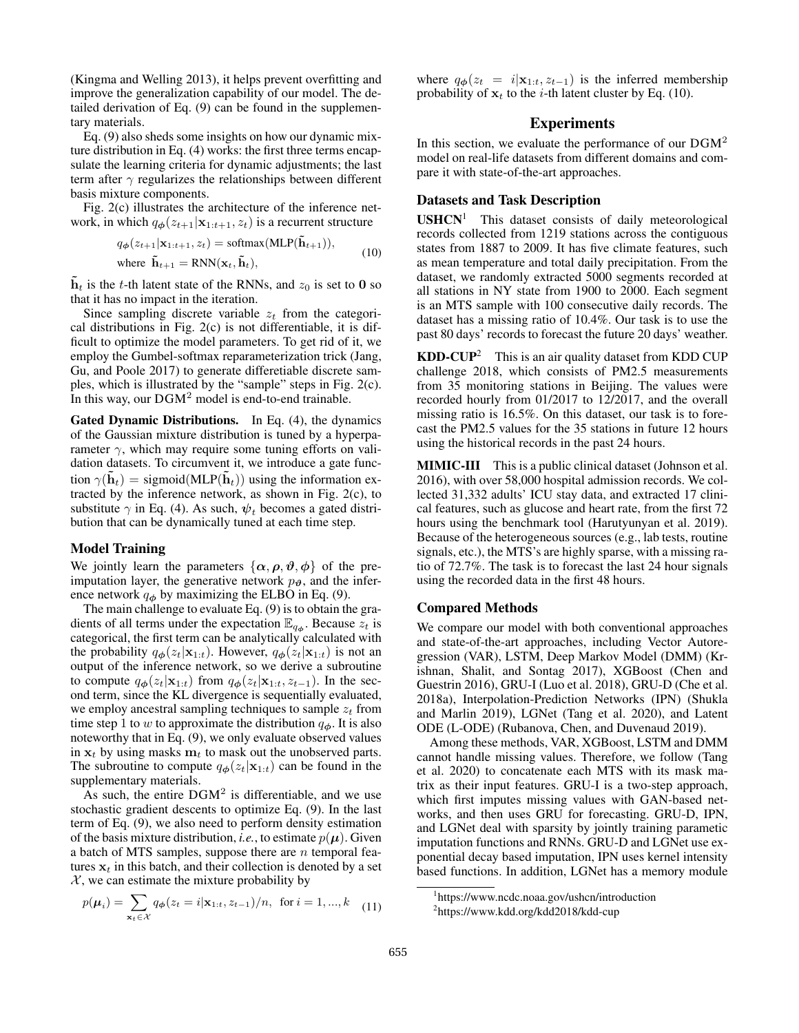(Kingma and Welling 2013), it helps prevent overfitting and improve the generalization capability of our model. The detailed derivation of Eq. (9) can be found in the supplementary materials.

Eq. (9) also sheds some insights on how our dynamic mixture distribution in Eq. (4) works: the first three terms encapsulate the learning criteria for dynamic adjustments; the last term after  $\gamma$  regularizes the relationships between different basis mixture components.

Fig. 2(c) illustrates the architecture of the inference network, in which  $q_{\phi}(z_{t+1}|\mathbf{x}_{1:t+1}, z_t)$  is a recurrent structure

$$
q_{\phi}(z_{t+1}|\mathbf{x}_{1:t+1}, z_t) = \text{softmax}(\text{MLP}(\tilde{\mathbf{h}}_{t+1})),
$$
  
where  $\tilde{\mathbf{h}}_{t+1} = \text{RNN}(\mathbf{x}_t, \tilde{\mathbf{h}}_t),$  (10)

 $h_t$  is the t-th latent state of the RNNs, and  $z_0$  is set to 0 so that it has no impact in the iteration.

Since sampling discrete variable  $z_t$  from the categorical distributions in Fig. 2(c) is not differentiable, it is difficult to optimize the model parameters. To get rid of it, we employ the Gumbel-softmax reparameterization trick (Jang, Gu, and Poole 2017) to generate differetiable discrete samples, which is illustrated by the "sample" steps in Fig. 2(c). In this way, our  $DGM<sup>2</sup>$  model is end-to-end trainable.

Gated Dynamic Distributions. In Eq. (4), the dynamics of the Gaussian mixture distribution is tuned by a hyperparameter  $\gamma$ , which may require some tuning efforts on validation datasets. To circumvent it, we introduce a gate function  $\gamma(\tilde{\mathbf{h}}_t)$  = sigmoid(MLP( $\tilde{\mathbf{h}}_t$ )) using the information extracted by the inference network, as shown in Fig. 2(c), to substitute  $\gamma$  in Eq. (4). As such,  $\psi_t$  becomes a gated distribution that can be dynamically tuned at each time step.

### Model Training

We jointly learn the parameters  $\{\alpha, \rho, \vartheta, \varphi\}$  of the preimputation layer, the generative network  $p_{\theta}$ , and the inference network  $q_{\phi}$  by maximizing the ELBO in Eq. (9).

The main challenge to evaluate Eq. (9) is to obtain the gradients of all terms under the expectation  $\mathbb{E}_{q_{\phi}}$ . Because  $z_t$  is categorical, the first term can be analytically calculated with the probability  $q_{\phi}(z_t|\mathbf{x}_{1:t})$ . However,  $q_{\phi}(z_t|\mathbf{x}_{1:t})$  is not an output of the inference network, so we derive a subroutine to compute  $q_{\phi}(z_t|\mathbf{x}_{1:t})$  from  $q_{\phi}(z_t|\mathbf{x}_{1:t}, z_{t-1})$ . In the second term, since the KL divergence is sequentially evaluated, we employ ancestral sampling techniques to sample  $z_t$  from time step 1 to w to approximate the distribution  $q_{\phi}$ . It is also noteworthy that in Eq. (9), we only evaluate observed values in  $x_t$  by using masks  $m_t$  to mask out the unobserved parts. The subroutine to compute  $q_{\phi}(z_t|\mathbf{x}_{1:t})$  can be found in the supplementary materials.

As such, the entire  $DGM^2$  is differentiable, and we use stochastic gradient descents to optimize Eq. (9). In the last term of Eq. (9), we also need to perform density estimation of the basis mixture distribution, *i.e.*, to estimate  $p(\mu)$ . Given a batch of MTS samples, suppose there are  $n$  temporal features  $x_t$  in this batch, and their collection is denoted by a set  $X$ , we can estimate the mixture probability by

$$
p(\mu_i) = \sum_{\mathbf{x}_t \in \mathcal{X}} q_{\phi}(z_t = i | \mathbf{x}_{1:t}, z_{t-1}) / n, \text{ for } i = 1, ..., k \quad (11)
$$

where  $q_{\phi}(z_t = i|\mathbf{x}_{1:t}, z_{t-1})$  is the inferred membership probability of  $x_t$  to the *i*-th latent cluster by Eq. (10).

## Experiments

In this section, we evaluate the performance of our  $DGM<sup>2</sup>$ model on real-life datasets from different domains and compare it with state-of-the-art approaches.

### Datasets and Task Description

USHCN<sup>1</sup> This dataset consists of daily meteorological records collected from 1219 stations across the contiguous states from 1887 to 2009. It has five climate features, such as mean temperature and total daily precipitation. From the dataset, we randomly extracted 5000 segments recorded at all stations in NY state from 1900 to 2000. Each segment is an MTS sample with 100 consecutive daily records. The dataset has a missing ratio of 10.4%. Our task is to use the past 80 days' records to forecast the future 20 days' weather.

 $KDD-CUP<sup>2</sup>$  This is an air quality dataset from KDD CUP challenge 2018, which consists of PM2.5 measurements from 35 monitoring stations in Beijing. The values were recorded hourly from 01/2017 to 12/2017, and the overall missing ratio is 16.5%. On this dataset, our task is to forecast the PM2.5 values for the 35 stations in future 12 hours using the historical records in the past 24 hours.

MIMIC-III This is a public clinical dataset (Johnson et al. 2016), with over 58,000 hospital admission records. We collected 31,332 adults' ICU stay data, and extracted 17 clinical features, such as glucose and heart rate, from the first 72 hours using the benchmark tool (Harutyunyan et al. 2019). Because of the heterogeneous sources (e.g., lab tests, routine signals, etc.), the MTS's are highly sparse, with a missing ratio of 72.7%. The task is to forecast the last 24 hour signals using the recorded data in the first 48 hours.

#### Compared Methods

We compare our model with both conventional approaches and state-of-the-art approaches, including Vector Autoregression (VAR), LSTM, Deep Markov Model (DMM) (Krishnan, Shalit, and Sontag 2017), XGBoost (Chen and Guestrin 2016), GRU-I (Luo et al. 2018), GRU-D (Che et al. 2018a), Interpolation-Prediction Networks (IPN) (Shukla and Marlin 2019), LGNet (Tang et al. 2020), and Latent ODE (L-ODE) (Rubanova, Chen, and Duvenaud 2019).

Among these methods, VAR, XGBoost, LSTM and DMM cannot handle missing values. Therefore, we follow (Tang et al. 2020) to concatenate each MTS with its mask matrix as their input features. GRU-I is a two-step approach, which first imputes missing values with GAN-based networks, and then uses GRU for forecasting. GRU-D, IPN, and LGNet deal with sparsity by jointly training parametic imputation functions and RNNs. GRU-D and LGNet use exponential decay based imputation, IPN uses kernel intensity based functions. In addition, LGNet has a memory module

<sup>1</sup> https://www.ncdc.noaa.gov/ushcn/introduction

<sup>2</sup> https://www.kdd.org/kdd2018/kdd-cup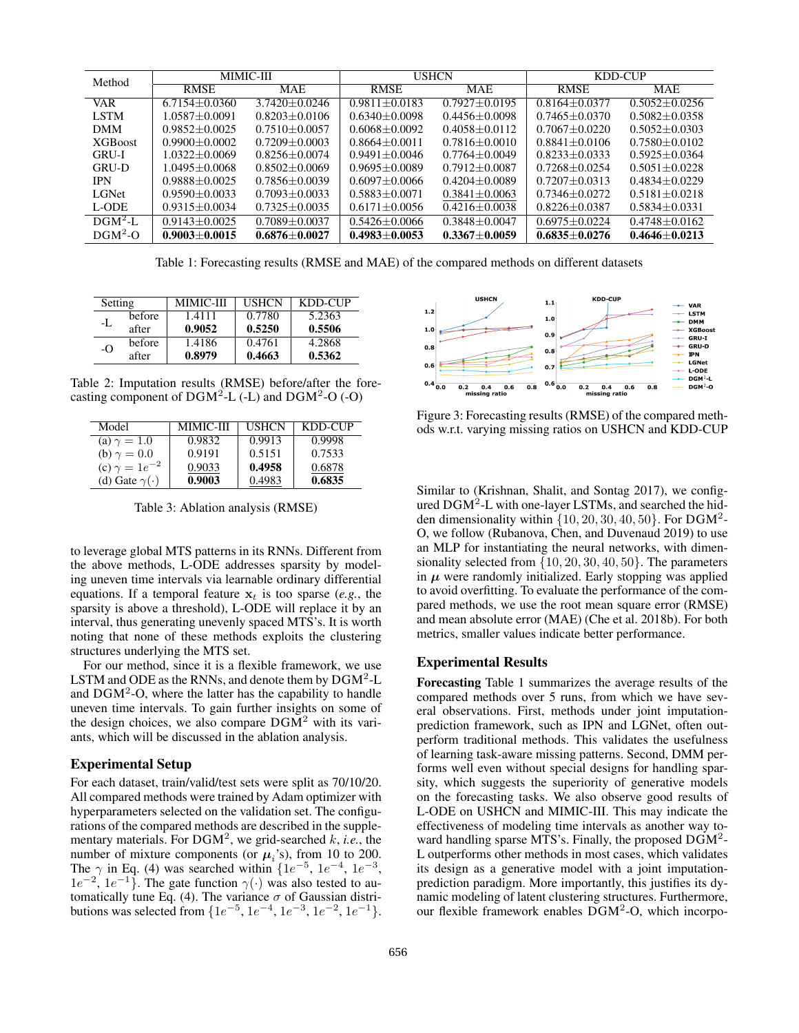| Method         | <b>MIMIC-III</b>  |                   | <b>USHCN</b>      |                   | KDD-CUP           |                     |
|----------------|-------------------|-------------------|-------------------|-------------------|-------------------|---------------------|
|                | <b>RMSE</b>       | <b>MAE</b>        | <b>RMSE</b>       | <b>MAE</b>        | <b>RMSE</b>       | <b>MAE</b>          |
| VAR.           | $6.7154 + 0.0360$ | $3.7420 + 0.0246$ | $0.9811 + 0.0183$ | $0.7927 + 0.0195$ | $0.8164 + 0.0377$ | $0.5052 + 0.0256$   |
| <b>LSTM</b>    | $1.0587 + 0.0091$ | $0.8203 + 0.0106$ | $0.6340 + 0.0098$ | $0.4456 + 0.0098$ | $0.7465 + 0.0370$ | $0.5082 + 0.0358$   |
| <b>DMM</b>     | $0.9852 + 0.0025$ | $0.7510 + 0.0057$ | $0.6068 + 0.0092$ | $0.4058 + 0.0112$ | $0.7067 + 0.0220$ | $0.5052 + 0.0303$   |
| <b>XGBoost</b> | $0.9900 + 0.0002$ | $0.7209 + 0.0003$ | $0.8664 + 0.0011$ | $0.7816 + 0.0010$ | $0.8841 + 0.0106$ | $0.7580 + 0.0102$   |
| <b>GRU-I</b>   | $1.0322 + 0.0069$ | $0.8256 + 0.0074$ | $0.9491 + 0.0046$ | $0.7764 + 0.0049$ | $0.8233 + 0.0333$ | $0.5925 + 0.0364$   |
| <b>GRU-D</b>   | $1.0495 + 0.0068$ | $0.8502 + 0.0069$ | $0.9695 + 0.0089$ | $0.7912 + 0.0087$ | $0.7268 + 0.0254$ | $0.5051 + 0.0228$   |
| <b>IPN</b>     | $0.9888 + 0.0025$ | $0.7856 + 0.0039$ | $0.6097 + 0.0066$ | $0.4204 + 0.0089$ | $0.7207 + 0.0313$ | $0.4834 + 0.0229$   |
| LGNet          | $0.9590 + 0.0033$ | $0.7093 + 0.0033$ | $0.5883 + 0.0071$ | $0.3841 + 0.0063$ | $0.7346 + 0.0272$ | $0.5181 + 0.0218$   |
| L-ODE          | $0.9315 + 0.0034$ | $0.7325 + 0.0035$ | $0.6171 + 0.0056$ | $0.4216 + 0.0038$ | $0.8226 + 0.0387$ | $0.5834 \pm 0.0331$ |
| $DGM2$ -L      | $0.9143 + 0.0025$ | $0.7089 + 0.0037$ | $0.5426 + 0.0066$ | $0.3848 + 0.0047$ | $0.6975 + 0.0224$ | $0.4748 + 0.0162$   |
| $DGM2-O$       | $0.9003 + 0.0015$ | $0.6876 + 0.0027$ | $0.4983 + 0.0053$ | $0.3367 + 0.0059$ | $0.6835 + 0.0276$ | $0.4646 + 0.0213$   |

Table 1: Forecasting results (RMSE and MAE) of the compared methods on different datasets

| Setting |        | <b>MIMIC-III</b> | <b>USHCN</b> | KDD-CUP |
|---------|--------|------------------|--------------|---------|
| -L      | before | 1.4111           | 0.7780       | 5.2363  |
|         | after  | 0.9052           | 0.5250       | 0.5506  |
| $-$ O   | before | 1.4186           | 0.4761       | 4.2868  |
|         | after  | 0.8979           | 0.4663       | 0.5362  |

Table 2: Imputation results (RMSE) before/after the forecasting component of  $DGM<sup>2</sup>-L$  (-L) and  $DGM<sup>2</sup>-O$  (-O)

| Model                    | <b>MIMIC-III</b> | <b>USHCN</b> | KDD-CUP |
|--------------------------|------------------|--------------|---------|
| (a) $\gamma = 1.0$       | 0.9832           | 0.9913       | 0.9998  |
| (b) $\gamma = 0.0$       | 0.9191           | 0.5151       | 0.7533  |
| (c) $\gamma = 1e^{-2}$   | 0.9033           | 0.4958       | 0.6878  |
| (d) Gate $\gamma(\cdot)$ | 0.9003           | 0.4983       | 0.6835  |

Table 3: Ablation analysis (RMSE)

to leverage global MTS patterns in its RNNs. Different from the above methods, L-ODE addresses sparsity by modeling uneven time intervals via learnable ordinary differential equations. If a temporal feature  $x_t$  is too sparse (*e.g.*, the sparsity is above a threshold), L-ODE will replace it by an interval, thus generating unevenly spaced MTS's. It is worth noting that none of these methods exploits the clustering structures underlying the MTS set.

For our method, since it is a flexible framework, we use LSTM and ODE as the RNNs, and denote them by  $\rm{DGM^2\text{-}L}$ and  $DGM<sup>2</sup>-O$ , where the latter has the capability to handle uneven time intervals. To gain further insights on some of the design choices, we also compare  $DGM<sup>2</sup>$  with its variants, which will be discussed in the ablation analysis.

### Experimental Setup

For each dataset, train/valid/test sets were split as 70/10/20. All compared methods were trained by Adam optimizer with hyperparameters selected on the validation set. The configurations of the compared methods are described in the supplementary materials. For DGM<sup>2</sup> , we grid-searched k, *i.e.*, the number of mixture components (or  $\mu_i$ 's), from 10 to 200. The  $\gamma$  in Eq. (4) was searched within  $\{1e^{-5}, 1e^{-4}, 1e^{-3}, \}$  $1e^{-2}$ ,  $1e^{-1}$ . The gate function  $\gamma(\cdot)$  was also tested to automatically tune Eq. (4). The variance  $\sigma$  of Gaussian distributions was selected from  $\{1e^{-5}, 1e^{-4}, 1e^{-3}, 1e^{-2}, 1e^{-1}\}.$ 



Figure 3: Forecasting results (RMSE) of the compared methods w.r.t. varying missing ratios on USHCN and KDD-CUP

Similar to (Krishnan, Shalit, and Sontag 2017), we configured  $\text{DGM}^2$ -L with one-layer LSTMs, and searched the hidden dimensionality within  $\{10, 20, 30, 40, 50\}$ . For DGM<sup>2</sup>-O, we follow (Rubanova, Chen, and Duvenaud 2019) to use an MLP for instantiating the neural networks, with dimensionality selected from {10, 20, 30, 40, 50}. The parameters in  $\mu$  were randomly initialized. Early stopping was applied to avoid overfitting. To evaluate the performance of the compared methods, we use the root mean square error (RMSE) and mean absolute error (MAE) (Che et al. 2018b). For both metrics, smaller values indicate better performance.

### Experimental Results

Forecasting Table 1 summarizes the average results of the compared methods over 5 runs, from which we have several observations. First, methods under joint imputationprediction framework, such as IPN and LGNet, often outperform traditional methods. This validates the usefulness of learning task-aware missing patterns. Second, DMM performs well even without special designs for handling sparsity, which suggests the superiority of generative models on the forecasting tasks. We also observe good results of L-ODE on USHCN and MIMIC-III. This may indicate the effectiveness of modeling time intervals as another way toward handling sparse MTS's. Finally, the proposed  $\overline{DGM}^2$ -L outperforms other methods in most cases, which validates its design as a generative model with a joint imputationprediction paradigm. More importantly, this justifies its dynamic modeling of latent clustering structures. Furthermore, our flexible framework enables  $\rm{DGM^2-O}$ , which incorpo-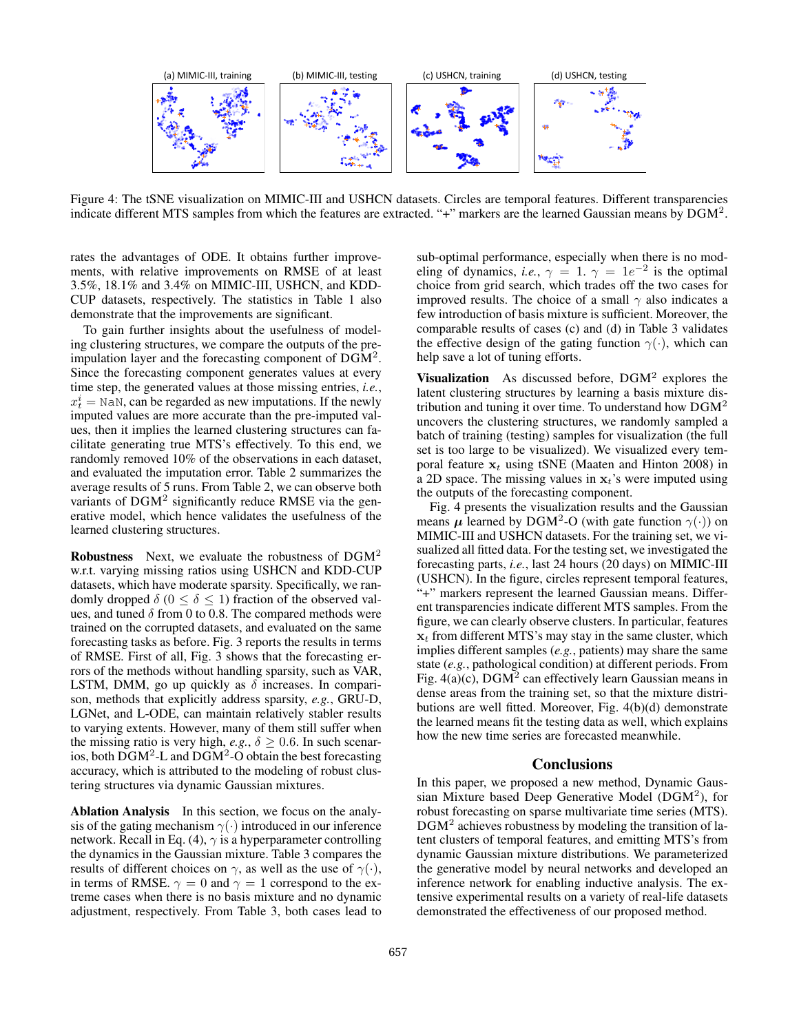

Figure 4: The tSNE visualization on MIMIC-III and USHCN datasets. Circles are temporal features. Different transparencies indicate different MTS samples from which the features are extracted. "+" markers are the learned Gaussian means by  $\text{DGM}^2$ .

rates the advantages of ODE. It obtains further improvements, with relative improvements on RMSE of at least 3.5%, 18.1% and 3.4% on MIMIC-III, USHCN, and KDD-CUP datasets, respectively. The statistics in Table 1 also demonstrate that the improvements are significant.

To gain further insights about the usefulness of modeling clustering structures, we compare the outputs of the preimpulation layer and the forecasting component of  $\text{DGM}^2$ . Since the forecasting component generates values at every time step, the generated values at those missing entries, *i.e.*,  $x_t^i$  = NaN, can be regarded as new imputations. If the newly imputed values are more accurate than the pre-imputed values, then it implies the learned clustering structures can facilitate generating true MTS's effectively. To this end, we randomly removed 10% of the observations in each dataset, and evaluated the imputation error. Table 2 summarizes the average results of 5 runs. From Table 2, we can observe both variants of  $DGM<sup>2</sup>$  significantly reduce RMSE via the generative model, which hence validates the usefulness of the learned clustering structures.

Robustness Next, we evaluate the robustness of DGM<sup>2</sup> w.r.t. varying missing ratios using USHCN and KDD-CUP datasets, which have moderate sparsity. Specifically, we randomly dropped  $\delta$  ( $0 \le \delta \le 1$ ) fraction of the observed values, and tuned  $\delta$  from 0 to 0.8. The compared methods were trained on the corrupted datasets, and evaluated on the same forecasting tasks as before. Fig. 3 reports the results in terms of RMSE. First of all, Fig. 3 shows that the forecasting errors of the methods without handling sparsity, such as VAR, LSTM, DMM, go up quickly as  $\delta$  increases. In comparison, methods that explicitly address sparsity, *e.g.*, GRU-D, LGNet, and L-ODE, can maintain relatively stabler results to varying extents. However, many of them still suffer when the missing ratio is very high,  $e.g., \delta \geq 0.6$ . In such scenarios, both  $\overline{D}GM^2$ -L and  $\overline{D}GM^2$ -O obtain the best forecasting accuracy, which is attributed to the modeling of robust clustering structures via dynamic Gaussian mixtures.

Ablation Analysis In this section, we focus on the analysis of the gating mechanism  $\gamma(\cdot)$  introduced in our inference network. Recall in Eq. (4),  $\gamma$  is a hyperparameter controlling the dynamics in the Gaussian mixture. Table 3 compares the results of different choices on  $\gamma$ , as well as the use of  $\gamma(\cdot)$ , in terms of RMSE.  $\gamma = 0$  and  $\gamma = 1$  correspond to the extreme cases when there is no basis mixture and no dynamic adjustment, respectively. From Table 3, both cases lead to

sub-optimal performance, especially when there is no modeling of dynamics, *i.e.*,  $\gamma = 1$ .  $\gamma = 1e^{-2}$  is the optimal choice from grid search, which trades off the two cases for improved results. The choice of a small  $\gamma$  also indicates a few introduction of basis mixture is sufficient. Moreover, the comparable results of cases (c) and (d) in Table 3 validates the effective design of the gating function  $\gamma(\cdot)$ , which can help save a lot of tuning efforts.

Visualization As discussed before,  $DGM<sup>2</sup>$  explores the latent clustering structures by learning a basis mixture distribution and tuning it over time. To understand how  $DGM<sup>2</sup>$ uncovers the clustering structures, we randomly sampled a batch of training (testing) samples for visualization (the full set is too large to be visualized). We visualized every temporal feature  $x_t$  using tSNE (Maaten and Hinton 2008) in a 2D space. The missing values in  $x_t$ 's were imputed using the outputs of the forecasting component.

Fig. 4 presents the visualization results and the Gaussian means  $\mu$  learned by DGM<sup>2</sup>-O (with gate function  $\gamma(\cdot)$ ) on MIMIC-III and USHCN datasets. For the training set, we visualized all fitted data. For the testing set, we investigated the forecasting parts, *i.e.*, last 24 hours (20 days) on MIMIC-III (USHCN). In the figure, circles represent temporal features, "+" markers represent the learned Gaussian means. Different transparencies indicate different MTS samples. From the figure, we can clearly observe clusters. In particular, features  $x_t$  from different MTS's may stay in the same cluster, which implies different samples (*e.g.*, patients) may share the same state (*e.g.*, pathological condition) at different periods. From Fig.  $4(a)(c)$ , DGM<sup>2</sup> can effectively learn Gaussian means in dense areas from the training set, so that the mixture distributions are well fitted. Moreover, Fig. 4(b)(d) demonstrate the learned means fit the testing data as well, which explains how the new time series are forecasted meanwhile.

#### **Conclusions**

In this paper, we proposed a new method, Dynamic Gaussian Mixture based Deep Generative Model (DGM<sup>2</sup> ), for robust forecasting on sparse multivariate time series (MTS). DGM<sup>2</sup> achieves robustness by modeling the transition of latent clusters of temporal features, and emitting MTS's from dynamic Gaussian mixture distributions. We parameterized the generative model by neural networks and developed an inference network for enabling inductive analysis. The extensive experimental results on a variety of real-life datasets demonstrated the effectiveness of our proposed method.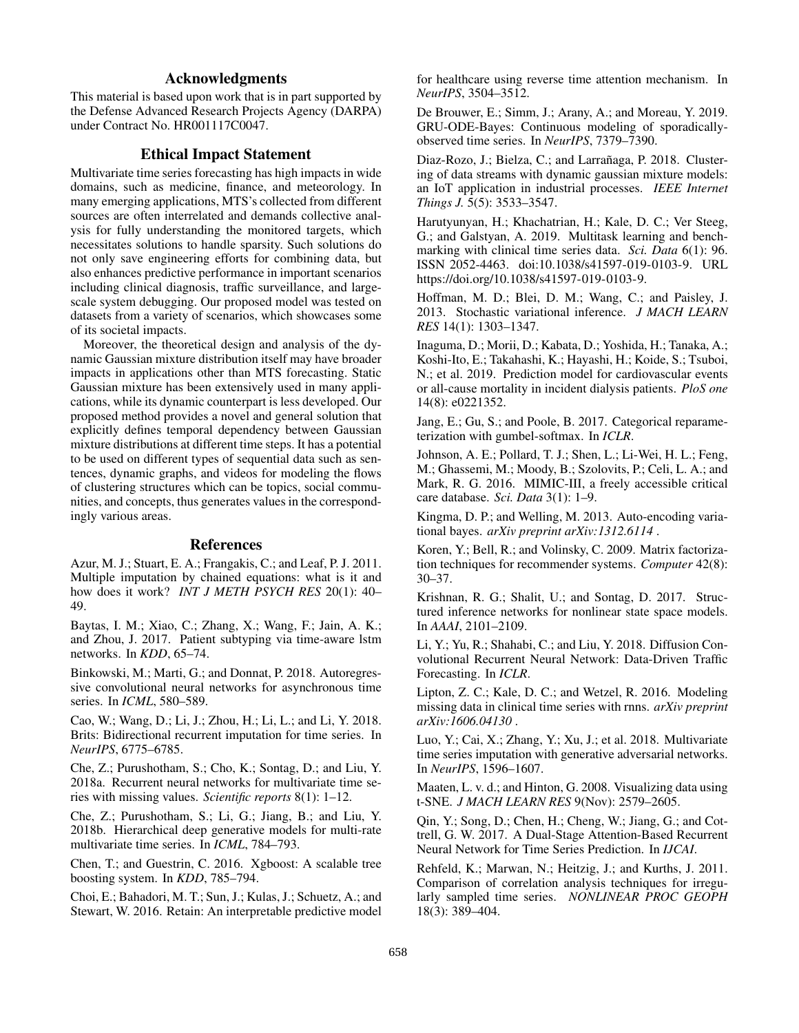# Acknowledgments

This material is based upon work that is in part supported by the Defense Advanced Research Projects Agency (DARPA) under Contract No. HR001117C0047.

### Ethical Impact Statement

Multivariate time series forecasting has high impacts in wide domains, such as medicine, finance, and meteorology. In many emerging applications, MTS's collected from different sources are often interrelated and demands collective analysis for fully understanding the monitored targets, which necessitates solutions to handle sparsity. Such solutions do not only save engineering efforts for combining data, but also enhances predictive performance in important scenarios including clinical diagnosis, traffic surveillance, and largescale system debugging. Our proposed model was tested on datasets from a variety of scenarios, which showcases some of its societal impacts.

Moreover, the theoretical design and analysis of the dynamic Gaussian mixture distribution itself may have broader impacts in applications other than MTS forecasting. Static Gaussian mixture has been extensively used in many applications, while its dynamic counterpart is less developed. Our proposed method provides a novel and general solution that explicitly defines temporal dependency between Gaussian mixture distributions at different time steps. It has a potential to be used on different types of sequential data such as sentences, dynamic graphs, and videos for modeling the flows of clustering structures which can be topics, social communities, and concepts, thus generates values in the correspondingly various areas.

# References

Azur, M. J.; Stuart, E. A.; Frangakis, C.; and Leaf, P. J. 2011. Multiple imputation by chained equations: what is it and how does it work? *INT J METH PSYCH RES* 20(1): 40– 49.

Baytas, I. M.; Xiao, C.; Zhang, X.; Wang, F.; Jain, A. K.; and Zhou, J. 2017. Patient subtyping via time-aware lstm networks. In *KDD*, 65–74.

Binkowski, M.; Marti, G.; and Donnat, P. 2018. Autoregressive convolutional neural networks for asynchronous time series. In *ICML*, 580–589.

Cao, W.; Wang, D.; Li, J.; Zhou, H.; Li, L.; and Li, Y. 2018. Brits: Bidirectional recurrent imputation for time series. In *NeurIPS*, 6775–6785.

Che, Z.; Purushotham, S.; Cho, K.; Sontag, D.; and Liu, Y. 2018a. Recurrent neural networks for multivariate time series with missing values. *Scientific reports* 8(1): 1–12.

Che, Z.; Purushotham, S.; Li, G.; Jiang, B.; and Liu, Y. 2018b. Hierarchical deep generative models for multi-rate multivariate time series. In *ICML*, 784–793.

Chen, T.; and Guestrin, C. 2016. Xgboost: A scalable tree boosting system. In *KDD*, 785–794.

Choi, E.; Bahadori, M. T.; Sun, J.; Kulas, J.; Schuetz, A.; and Stewart, W. 2016. Retain: An interpretable predictive model for healthcare using reverse time attention mechanism. In *NeurIPS*, 3504–3512.

De Brouwer, E.; Simm, J.; Arany, A.; and Moreau, Y. 2019. GRU-ODE-Bayes: Continuous modeling of sporadicallyobserved time series. In *NeurIPS*, 7379–7390.

Diaz-Rozo, J.; Bielza, C.; and Larrañaga, P. 2018. Clustering of data streams with dynamic gaussian mixture models: an IoT application in industrial processes. *IEEE Internet Things J.* 5(5): 3533–3547.

Harutyunyan, H.; Khachatrian, H.; Kale, D. C.; Ver Steeg, G.; and Galstyan, A. 2019. Multitask learning and benchmarking with clinical time series data. *Sci. Data* 6(1): 96. ISSN 2052-4463. doi:10.1038/s41597-019-0103-9. URL https://doi.org/10.1038/s41597-019-0103-9.

Hoffman, M. D.; Blei, D. M.; Wang, C.; and Paisley, J. 2013. Stochastic variational inference. *J MACH LEARN RES* 14(1): 1303–1347.

Inaguma, D.; Morii, D.; Kabata, D.; Yoshida, H.; Tanaka, A.; Koshi-Ito, E.; Takahashi, K.; Hayashi, H.; Koide, S.; Tsuboi, N.; et al. 2019. Prediction model for cardiovascular events or all-cause mortality in incident dialysis patients. *PloS one* 14(8): e0221352.

Jang, E.; Gu, S.; and Poole, B. 2017. Categorical reparameterization with gumbel-softmax. In *ICLR*.

Johnson, A. E.; Pollard, T. J.; Shen, L.; Li-Wei, H. L.; Feng, M.; Ghassemi, M.; Moody, B.; Szolovits, P.; Celi, L. A.; and Mark, R. G. 2016. MIMIC-III, a freely accessible critical care database. *Sci. Data* 3(1): 1–9.

Kingma, D. P.; and Welling, M. 2013. Auto-encoding variational bayes. *arXiv preprint arXiv:1312.6114* .

Koren, Y.; Bell, R.; and Volinsky, C. 2009. Matrix factorization techniques for recommender systems. *Computer* 42(8): 30–37.

Krishnan, R. G.; Shalit, U.; and Sontag, D. 2017. Structured inference networks for nonlinear state space models. In *AAAI*, 2101–2109.

Li, Y.; Yu, R.; Shahabi, C.; and Liu, Y. 2018. Diffusion Convolutional Recurrent Neural Network: Data-Driven Traffic Forecasting. In *ICLR*.

Lipton, Z. C.; Kale, D. C.; and Wetzel, R. 2016. Modeling missing data in clinical time series with rnns. *arXiv preprint arXiv:1606.04130* .

Luo, Y.; Cai, X.; Zhang, Y.; Xu, J.; et al. 2018. Multivariate time series imputation with generative adversarial networks. In *NeurIPS*, 1596–1607.

Maaten, L. v. d.; and Hinton, G. 2008. Visualizing data using t-SNE. *J MACH LEARN RES* 9(Nov): 2579–2605.

Qin, Y.; Song, D.; Chen, H.; Cheng, W.; Jiang, G.; and Cottrell, G. W. 2017. A Dual-Stage Attention-Based Recurrent Neural Network for Time Series Prediction. In *IJCAI*.

Rehfeld, K.; Marwan, N.; Heitzig, J.; and Kurths, J. 2011. Comparison of correlation analysis techniques for irregularly sampled time series. *NONLINEAR PROC GEOPH* 18(3): 389–404.